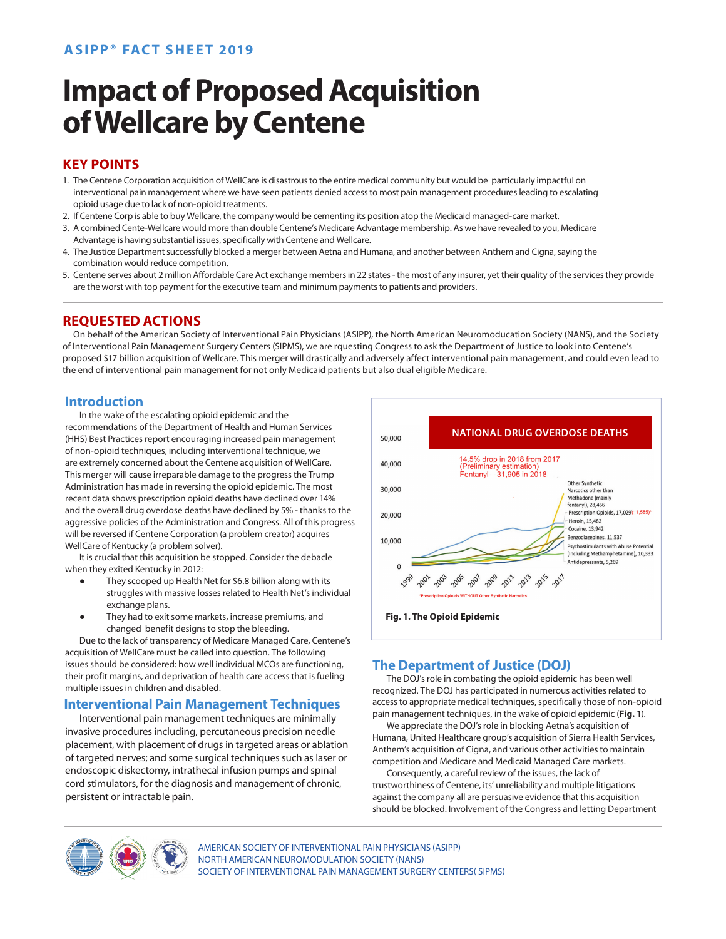# **ASIPP® FACT SHEET 2019**

# **Impact of Proposed Acquisition of Wellcare by Centene**

## **KEY POINTS**

- 1. The Centene Corporation acquisition of WellCare is disastrous to the entire medical community but would be particularly impactful on interventional pain management where we have seen patients denied access to most pain management procedures leading to escalating opioid usage due to lack of non-opioid treatments.
- 2. If Centene Corp is able to buy Wellcare, the company would be cementing its position atop the Medicaid managed-care market.
- 3. A combined Cente-Wellcare would more than double Centene's Medicare Advantage membership. As we have revealed to you, Medicare Advantage is having substantial issues, specifically with Centene and Wellcare.
- 4. The Justice Department successfully blocked a merger between Aetna and Humana, and another between Anthem and Cigna, saying the combination would reduce competition.
- 5. Centene serves about 2 million Affordable Care Act exchange members in 22 states the most of any insurer, yet their quality of the services they provide are the worst with top payment for the executive team and minimum payments to patients and providers.

## **REQUESTED ACTIONS**

On behalf of the American Society of Interventional Pain Physicians (ASIPP), the North American Neuromoducation Society (NANS), and the Society of Interventional Pain Management Surgery Centers (SIPMS), we are rquesting Congress to ask the Department of Justice to look into Centene's proposed \$17 billion acquisition of Wellcare. This merger will drastically and adversely affect interventional pain management, and could even lead to the end of interventional pain management for not only Medicaid patients but also dual eligible Medicare.

## **Introduction**

 In the wake of the escalating opioid epidemic and the recommendations of the Department of Health and Human Services (HHS) Best Practices report encouraging increased pain management of non-opioid techniques, including interventional technique, we are extremely concerned about the Centene acquisition of WellCare. This merger will cause irreparable damage to the progress the Trump Administration has made in reversing the opioid epidemic. The most recent data shows prescription opioid deaths have declined over 14% and the overall drug overdose deaths have declined by 5% - thanks to the aggressive policies of the Administration and Congress. All of this progress will be reversed if Centene Corporation (a problem creator) acquires WellCare of Kentucky (a problem solver).

 It is crucial that this acquisition be stopped. Consider the debacle when they exited Kentucky in 2012:

- They scooped up Health Net for \$6.8 billion along with its struggles with massive losses related to Health Net's individual exchange plans.
- They had to exit some markets, increase premiums, and changed benefit designs to stop the bleeding.

 Due to the lack of transparency of Medicare Managed Care, Centene's acquisition of WellCare must be called into question. The following issues should be considered: how well individual MCOs are functioning, their profit margins, and deprivation of health care access that is fueling multiple issues in children and disabled.

# **Interventional Pain Management Techniques**

 Interventional pain management techniques are minimally invasive procedures including, percutaneous precision needle placement, with placement of drugs in targeted areas or ablation of targeted nerves; and some surgical techniques such as laser or endoscopic diskectomy, intrathecal infusion pumps and spinal cord stimulators, for the diagnosis and management of chronic, persistent or intractable pain.



# **The Department of Justice (DOJ)**

 The DOJ's role in combating the opioid epidemic has been well recognized. The DOJ has participated in numerous activities related to access to appropriate medical techniques, specifically those of non-opioid pain management techniques, in the wake of opioid epidemic (**Fig. 1**).

 We appreciate the DOJ's role in blocking Aetna's acquisition of Humana, United Healthcare group's acquisition of Sierra Health Services, Anthem's acquisition of Cigna, and various other activities to maintain competition and Medicare and Medicaid Managed Care markets.

 Consequently, a careful review of the issues, the lack of trustworthiness of Centene, its' unreliability and multiple litigations against the company all are persuasive evidence that this acquisition should be blocked. Involvement of the Congress and letting Department



AMERICAN SOCIETY OF INTERVENTIONAL PAIN PHYSICIANS (ASIPP) NORTH AMERICAN NEUROMODULATION SOCIETY (NANS) SOCIETY OF INTERVENTIONAL PAIN MANAGEMENT SURGERY CENTERS( SIPMS)